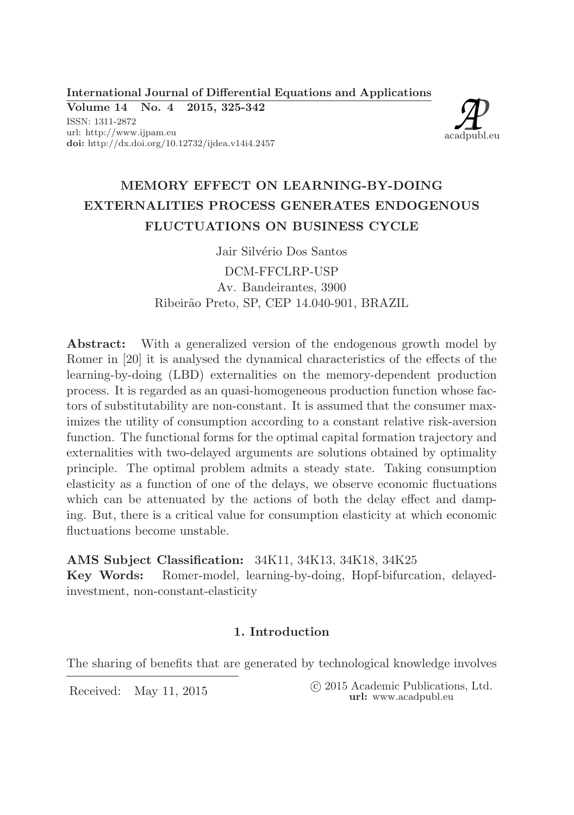International Journal of Differential Equations and Applications

Volume 14 No. 4 2015, 325-342 ISSN: 1311-2872 url: http://www.ijpam.eu doi: http://dx.doi.org/10.12732/ijdea.v14i4.2457



# MEMORY EFFECT ON LEARNING-BY-DOING EXTERNALITIES PROCESS GENERATES ENDOGENOUS FLUCTUATIONS ON BUSINESS CYCLE

Jair Silvério Dos Santos DCM-FFCLRP-USP Av. Bandeirantes, 3900 Ribeirão Preto, SP, CEP 14.040-901, BRAZIL

Abstract: With a generalized version of the endogenous growth model by Romer in [20] it is analysed the dynamical characteristics of the effects of the learning-by-doing (LBD) externalities on the memory-dependent production process. It is regarded as an quasi-homogeneous production function whose factors of substitutability are non-constant. It is assumed that the consumer maximizes the utility of consumption according to a constant relative risk-aversion function. The functional forms for the optimal capital formation trajectory and externalities with two-delayed arguments are solutions obtained by optimality principle. The optimal problem admits a steady state. Taking consumption elasticity as a function of one of the delays, we observe economic fluctuations which can be attenuated by the actions of both the delay effect and damping. But, there is a critical value for consumption elasticity at which economic fluctuations become unstable.

AMS Subject Classification: 34K11, 34K13, 34K18, 34K25 Key Words: Romer-model, learning-by-doing, Hopf-bifurcation, delayedinvestment, non-constant-elasticity

## 1. Introduction

The sharing of benefits that are generated by technological knowledge involves

Received: May 11, 2015 (C 2015 Academic Publications, Ltd. url: www.acadpubl.eu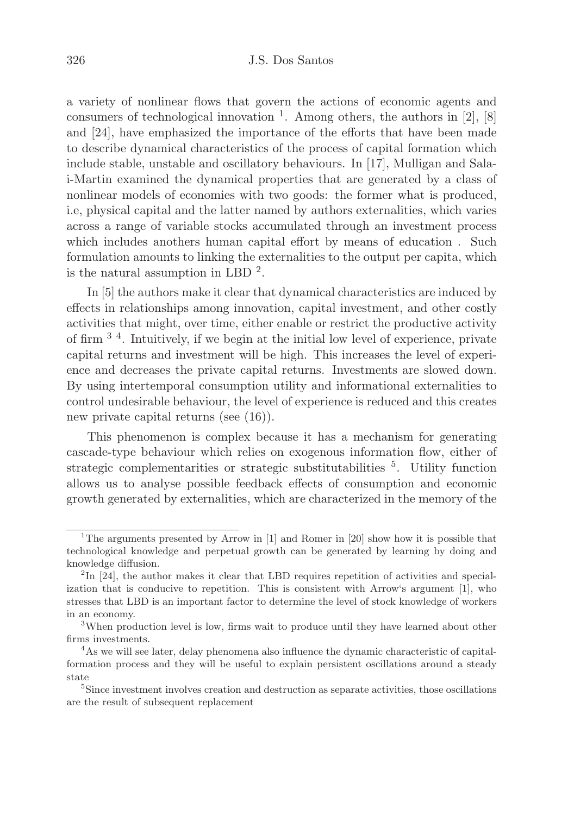#### 326 J.S. Dos Santos

a variety of nonlinear flows that govern the actions of economic agents and consumers of technological innovation  $<sup>1</sup>$ . Among others, the authors in [2], [8]</sup> and [24], have emphasized the importance of the efforts that have been made to describe dynamical characteristics of the process of capital formation which include stable, unstable and oscillatory behaviours. In [17], Mulligan and Salai-Martin examined the dynamical properties that are generated by a class of nonlinear models of economies with two goods: the former what is produced, i.e, physical capital and the latter named by authors externalities, which varies across a range of variable stocks accumulated through an investment process which includes anothers human capital effort by means of education . Such formulation amounts to linking the externalities to the output per capita, which is the natural assumption in LBD  $^2$ .

In [5] the authors make it clear that dynamical characteristics are induced by effects in relationships among innovation, capital investment, and other costly activities that might, over time, either enable or restrict the productive activity of firm 3 4. Intuitively, if we begin at the initial low level of experience, private capital returns and investment will be high. This increases the level of experience and decreases the private capital returns. Investments are slowed down. By using intertemporal consumption utility and informational externalities to control undesirable behaviour, the level of experience is reduced and this creates new private capital returns (see (16)).

This phenomenon is complex because it has a mechanism for generating cascade-type behaviour which relies on exogenous information flow, either of strategic complementarities or strategic substitutabilities <sup>5</sup>. Utility function allows us to analyse possible feedback effects of consumption and economic growth generated by externalities, which are characterized in the memory of the

<sup>&</sup>lt;sup>1</sup>The arguments presented by Arrow in  $[1]$  and Romer in  $[20]$  show how it is possible that technological knowledge and perpetual growth can be generated by learning by doing and knowledge diffusion.

<sup>&</sup>lt;sup>2</sup>In [24], the author makes it clear that LBD requires repetition of activities and specialization that is conducive to repetition. This is consistent with Arrow's argument [1], who stresses that LBD is an important factor to determine the level of stock knowledge of workers in an economy.

<sup>&</sup>lt;sup>3</sup>When production level is low, firms wait to produce until they have learned about other firms investments.

<sup>&</sup>lt;sup>4</sup>As we will see later, delay phenomena also influence the dynamic characteristic of capitalformation process and they will be useful to explain persistent oscillations around a steady state

<sup>&</sup>lt;sup>5</sup>Since investment involves creation and destruction as separate activities, those oscillations are the result of subsequent replacement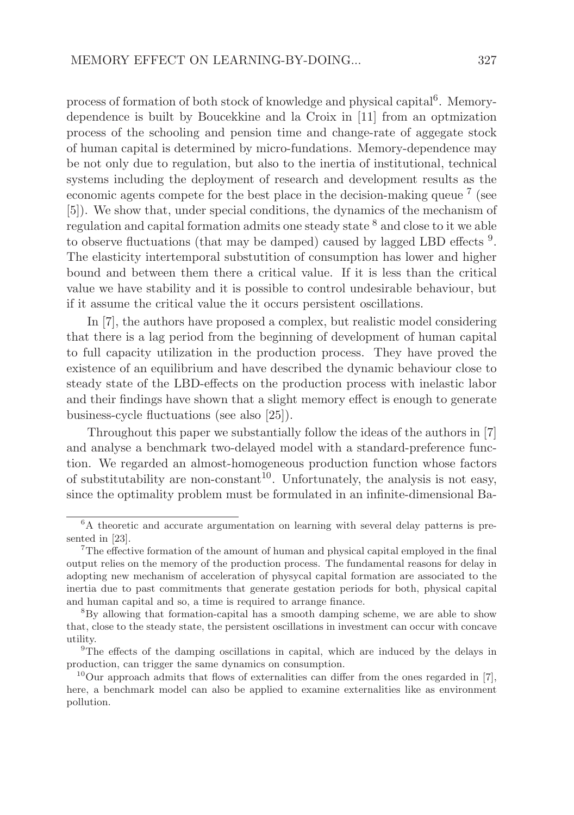process of formation of both stock of knowledge and physical capital<sup>6</sup>. Memorydependence is built by Boucekkine and la Croix in [11] from an optmization process of the schooling and pension time and change-rate of aggegate stock of human capital is determined by micro-fundations. Memory-dependence may be not only due to regulation, but also to the inertia of institutional, technical systems including the deployment of research and development results as the economic agents compete for the best place in the decision-making queue<sup>7</sup> (see [5]). We show that, under special conditions, the dynamics of the mechanism of regulation and capital formation admits one steady state <sup>8</sup> and close to it we able to observe fluctuations (that may be damped) caused by lagged LBD effects<sup>9</sup>. The elasticity intertemporal substutition of consumption has lower and higher bound and between them there a critical value. If it is less than the critical value we have stability and it is possible to control undesirable behaviour, but if it assume the critical value the it occurs persistent oscillations.

In [7], the authors have proposed a complex, but realistic model considering that there is a lag period from the beginning of development of human capital to full capacity utilization in the production process. They have proved the existence of an equilibrium and have described the dynamic behaviour close to steady state of the LBD-effects on the production process with inelastic labor and their findings have shown that a slight memory effect is enough to generate business-cycle fluctuations (see also [25]).

Throughout this paper we substantially follow the ideas of the authors in [7] and analyse a benchmark two-delayed model with a standard-preference function. We regarded an almost-homogeneous production function whose factors of substitutability are non-constant<sup>10</sup>. Unfortunately, the analysis is not easy, since the optimality problem must be formulated in an infinite-dimensional Ba-

 ${}^{6}$ A theoretic and accurate argumentation on learning with several delay patterns is presented in [23].

<sup>7</sup>The effective formation of the amount of human and physical capital employed in the final output relies on the memory of the production process. The fundamental reasons for delay in adopting new mechanism of acceleration of physycal capital formation are associated to the inertia due to past commitments that generate gestation periods for both, physical capital and human capital and so, a time is required to arrange finance.

<sup>8</sup>By allowing that formation-capital has a smooth damping scheme, we are able to show that, close to the steady state, the persistent oscillations in investment can occur with concave utility.

<sup>&</sup>lt;sup>9</sup>The effects of the damping oscillations in capital, which are induced by the delays in production, can trigger the same dynamics on consumption.

<sup>&</sup>lt;sup>10</sup>Our approach admits that flows of externalities can differ from the ones regarded in [7], here, a benchmark model can also be applied to examine externalities like as environment pollution.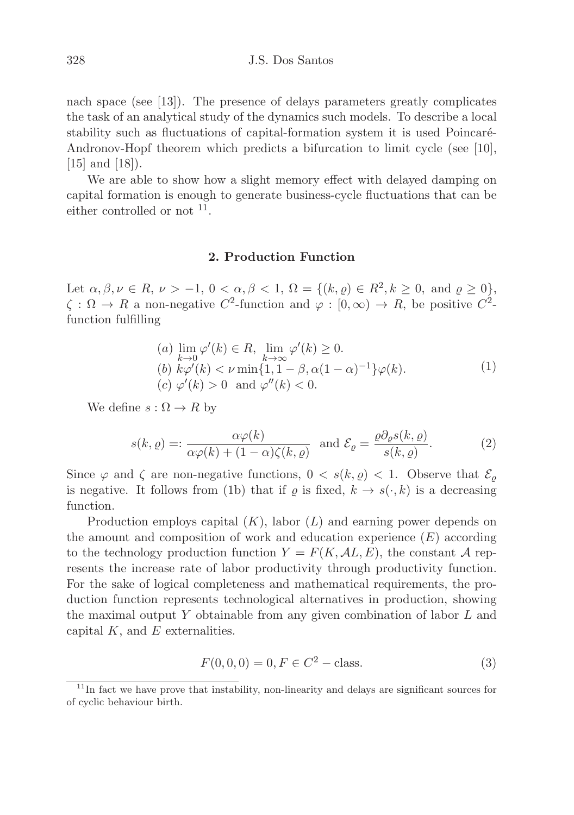nach space (see [13]). The presence of delays parameters greatly complicates the task of an analytical study of the dynamics such models. To describe a local stability such as fluctuations of capital-formation system it is used Poincaré-Andronov-Hopf theorem which predicts a bifurcation to limit cycle (see [10], [15] and [18]).

We are able to show how a slight memory effect with delayed damping on capital formation is enough to generate business-cycle fluctuations that can be either controlled or not  $11$ .

#### 2. Production Function

Let  $\alpha, \beta, \nu \in R$ ,  $\nu > -1$ ,  $0 < \alpha, \beta < 1$ ,  $\Omega = \{(k, \varrho) \in R^2, k \geq 0$ , and  $\varrho \geq 0\}$ ,  $\zeta : \Omega \to R$  a non-negative  $C^2$ -function and  $\varphi : [0, \infty) \to R$ , be positive  $C^2$ function fulfilling

\n- (a) 
$$
\lim_{k \to 0} \varphi'(k) \in R
$$
,  $\lim_{k \to \infty} \varphi'(k) \ge 0$ .
\n- (b)  $k\varphi'(k) < \nu \min\{1, 1 - \beta, \alpha(1 - \alpha)^{-1}\} \varphi(k)$ .
\n- (c)  $\varphi'(k) > 0$  and  $\varphi''(k) < 0$ .
\n

We define  $s : \Omega \to R$  by

$$
s(k, \varrho) =: \frac{\alpha \varphi(k)}{\alpha \varphi(k) + (1 - \alpha)\zeta(k, \varrho)} \text{ and } \mathcal{E}_{\varrho} = \frac{\varrho \partial_{\varrho} s(k, \varrho)}{s(k, \varrho)}.
$$
 (2)

Since  $\varphi$  and  $\zeta$  are non-negative functions,  $0 \leq s(k, \rho) \leq 1$ . Observe that  $\mathcal{E}_{\rho}$ is negative. It follows from (1b) that if  $\varrho$  is fixed,  $k \to s(\cdot, k)$  is a decreasing function.

Production employs capital  $(K)$ , labor  $(L)$  and earning power depends on the amount and composition of work and education experience  $(E)$  according to the technology production function  $Y = F(K, \mathcal{A}L, E)$ , the constant A represents the increase rate of labor productivity through productivity function. For the sake of logical completeness and mathematical requirements, the production function represents technological alternatives in production, showing the maximal output Y obtainable from any given combination of labor  $L$  and capital  $K$ , and  $E$  externalities.

$$
F(0,0,0) = 0, F \in C^2 - \text{class.}
$$
 (3)

 $11$ In fact we have prove that instability, non-linearity and delays are significant sources for of cyclic behaviour birth.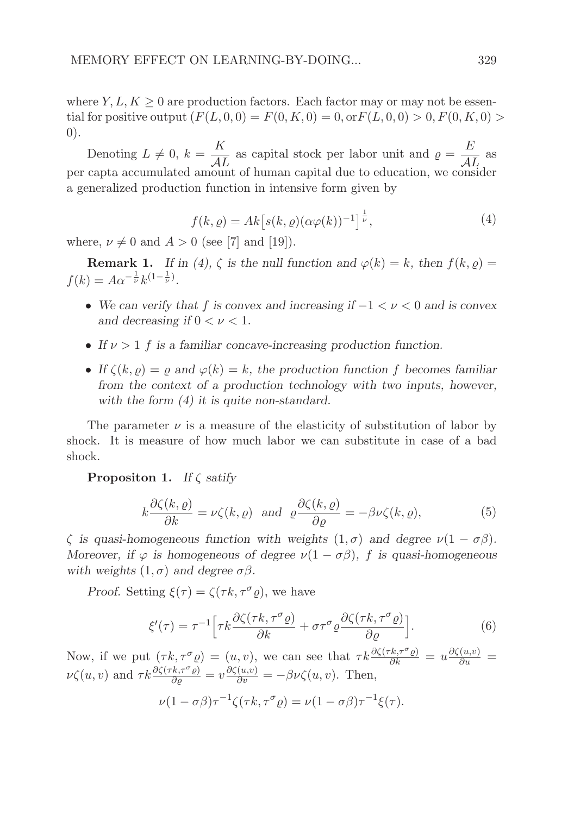where  $Y, L, K \geq 0$  are production factors. Each factor may or may not be essential for positive output  $(F(L, 0, 0) = F(0, K, 0) = 0, \text{or } F(L, 0, 0) > 0, F(0, K, 0) >$ 0).

Denoting  $L \neq 0, k = \frac{K}{\Delta l}$  $\frac{K}{AL}$  as capital stock per labor unit and  $\rho = \frac{E}{AI}$  $\frac{1}{\mathcal{A}L}$  as per capta accumulated amount of human capital due to education, we consider a generalized production function in intensive form given by

$$
f(k, \varrho) = Ak \left[ s(k, \varrho) (\alpha \varphi(k))^{-1} \right]^{\frac{1}{\nu}}, \tag{4}
$$

where,  $\nu \neq 0$  and  $A > 0$  (see [7] and [19]).

**Remark 1.** If in (4),  $\zeta$  is the null function and  $\varphi(k) = k$ , then  $f(k, \rho) =$  $f(k) = A\alpha^{-\frac{1}{\nu}}k^{(1-\frac{1}{\nu})}.$ 

- We can verify that f is convex and increasing if  $-1 < \nu < 0$  and is convex and decreasing if  $0 < \nu < 1$ .
- If  $\nu > 1$  f is a familiar concave-increasing production function.
- If  $\zeta(k, \rho) = \rho$  and  $\varphi(k) = k$ , the production function f becomes familiar from the context of a production technology with two inputs, however, with the form  $(4)$  it is quite non-standard.

The parameter  $\nu$  is a measure of the elasticity of substitution of labor by shock. It is measure of how much labor we can substitute in case of a bad shock.

**Propositon 1.** If  $\zeta$  satify

$$
k\frac{\partial \zeta(k,\varrho)}{\partial k} = \nu \zeta(k,\varrho) \text{ and } \varrho \frac{\partial \zeta(k,\varrho)}{\partial \varrho} = -\beta \nu \zeta(k,\varrho),\tag{5}
$$

 $\zeta$  is quasi-homogeneous function with weights  $(1, \sigma)$  and degree  $\nu(1 - \sigma\beta)$ . Moreover, if  $\varphi$  is homogeneous of degree  $\nu(1 - \sigma\beta)$ , f is quasi-homogeneous with weights  $(1, \sigma)$  and degree  $\sigma\beta$ .

Proof. Setting  $\xi(\tau) = \zeta(\tau k, \tau^{\sigma} \rho)$ , we have

$$
\xi'(\tau) = \tau^{-1} \Big[ \tau k \frac{\partial \zeta(\tau k, \tau^{\sigma} \varrho)}{\partial k} + \sigma \tau^{\sigma} \varrho \frac{\partial \zeta(\tau k, \tau^{\sigma} \varrho)}{\partial \varrho} \Big]. \tag{6}
$$

Now, if we put  $(\tau k, \tau^{\sigma} \varrho) = (u, v)$ , we can see that  $\tau k \frac{\partial \zeta(\tau k, \tau^{\sigma} \varrho)}{\partial k} = u \frac{\partial \zeta(u,v)}{\partial u} = u$  $\nu \zeta(u, v)$  and  $\tau k \frac{\partial \zeta(\tau k, \tau^{\sigma} \varrho)}{\partial \varrho} = v \frac{\partial \zeta(u, v)}{\partial v} = -\beta \nu \zeta(u, v)$ . Then,

$$
\nu(1-\sigma\beta)\tau^{-1}\zeta(\tau k,\tau^{\sigma}\varrho)=\nu(1-\sigma\beta)\tau^{-1}\xi(\tau).
$$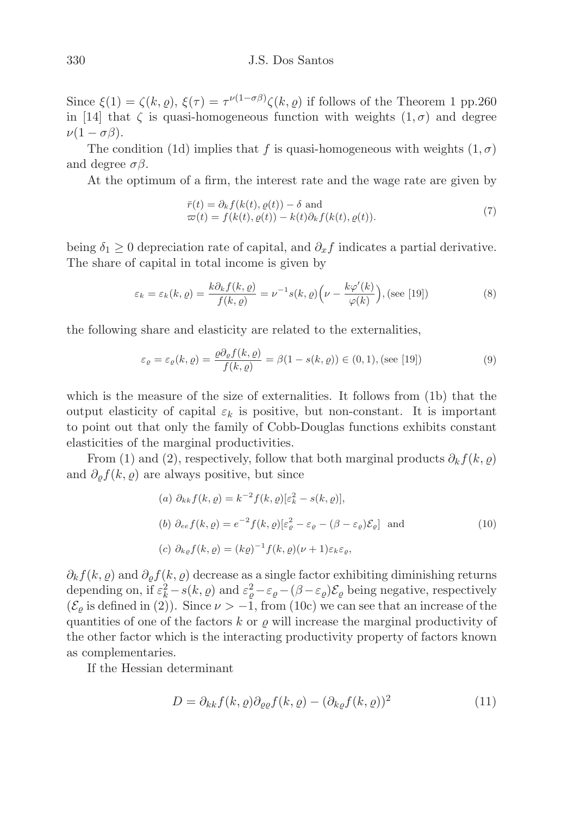Since  $\xi(1) = \zeta(k, \varrho), \xi(\tau) = \tau^{\nu(1-\sigma\beta)}\zeta(k, \varrho)$  if follows of the Theorem 1 pp.260 in [14] that  $\zeta$  is quasi-homogeneous function with weights  $(1, \sigma)$  and degree  $\nu(1-\sigma\beta).$ 

The condition (1d) implies that f is quasi-homogeneous with weights  $(1, \sigma)$ and degree  $\sigma\beta$ .

At the optimum of a firm, the interest rate and the wage rate are given by

$$
\begin{aligned} \bar{r}(t) &= \partial_k f(k(t), \varrho(t)) - \delta \text{ and} \\ \varpi(t) &= f(k(t), \varrho(t)) - k(t) \partial_k f(k(t), \varrho(t)). \end{aligned} \tag{7}
$$

being  $\delta_1 \geq 0$  depreciation rate of capital, and  $\partial_x f$  indicates a partial derivative. The share of capital in total income is given by

$$
\varepsilon_k = \varepsilon_k(k, \varrho) = \frac{k \partial_k f(k, \varrho)}{f(k, \varrho)} = \nu^{-1} s(k, \varrho) \left( \nu - \frac{k \varphi'(k)}{\varphi(k)} \right), \text{(see [19])}
$$
(8)

the following share and elasticity are related to the externalities,

$$
\varepsilon_{\varrho} = \varepsilon_{\varrho}(k,\varrho) = \frac{\varrho \partial_{\varrho} f(k,\varrho)}{f(k,\varrho)} = \beta(1 - s(k,\varrho)) \in (0,1), \text{(see [19])}
$$
\n(9)

which is the measure of the size of externalities. It follows from (1b) that the output elasticity of capital  $\varepsilon_k$  is positive, but non-constant. It is important to point out that only the family of Cobb-Douglas functions exhibits constant elasticities of the marginal productivities.

From (1) and (2), respectively, follow that both marginal products  $\partial_k f(k, \varrho)$ and  $\partial_{\rho} f(k, \rho)$  are always positive, but since

(a) 
$$
\partial_{kk} f(k, \varrho) = k^{-2} f(k, \varrho) [\varepsilon_k^2 - s(k, \varrho)],
$$
  
\n(b)  $\partial_{ee} f(k, \varrho) = e^{-2} f(k, \varrho) [\varepsilon_{\varrho}^2 - \varepsilon_{\varrho} - (\beta - \varepsilon_{\varrho}) \mathcal{E}_{\varrho}]$  and  
\n(c)  $\partial_{k\varrho} f(k, \varrho) = (k\varrho)^{-1} f(k, \varrho) (\nu + 1) \varepsilon_k \varepsilon_{\varrho},$  (10)

 $\partial_k f(k, \varrho)$  and  $\partial_{\varrho} f(k, \varrho)$  decrease as a single factor exhibiting diminishing returns depending on, if  $\varepsilon_k^2 - s(k, \varrho)$  and  $\varepsilon_\varrho^2 - \varepsilon_\varrho - (\beta - \varepsilon_\varrho) \mathcal{E}_\varrho$  being negative, respectively  $(\mathcal{E}_{\rho})$  is defined in (2)). Since  $\nu > -1$ , from (10c) we can see that an increase of the quantities of one of the factors  $k$  or  $\varrho$  will increase the marginal productivity of the other factor which is the interacting productivity property of factors known as complementaries.

If the Hessian determinant

$$
D = \partial_{kk} f(k, \varrho) \partial_{\varrho\varrho} f(k, \varrho) - (\partial_{k\varrho} f(k, \varrho))^2
$$
\n(11)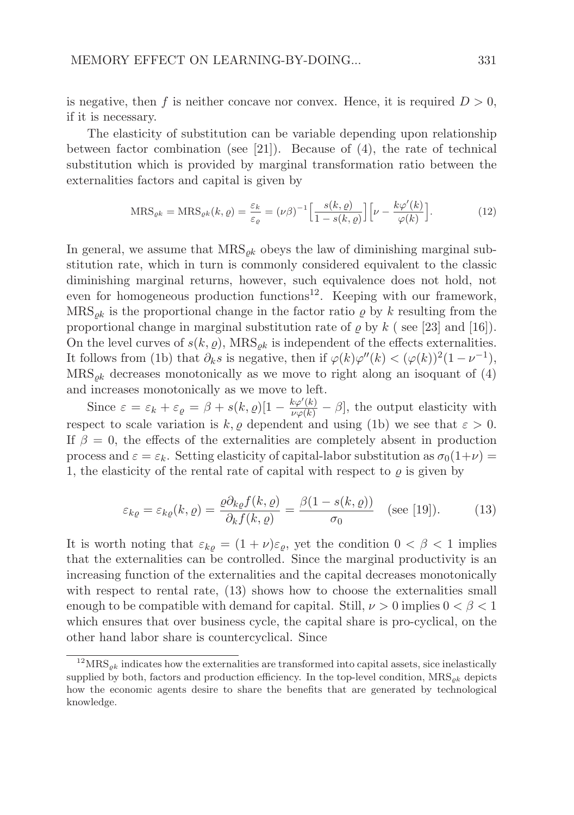is negative, then f is neither concave nor convex. Hence, it is required  $D > 0$ , if it is necessary.

The elasticity of substitution can be variable depending upon relationship between factor combination (see [21]). Because of  $(4)$ , the rate of technical substitution which is provided by marginal transformation ratio between the externalities factors and capital is given by

$$
\text{MRS}_{\varrho k} = \text{MRS}_{\varrho k}(k, \varrho) = \frac{\varepsilon_k}{\varepsilon_{\varrho}} = (\nu \beta)^{-1} \Big[ \frac{s(k, \varrho)}{1 - s(k, \varrho)} \Big] \Big[ \nu - \frac{k \varphi'(k)}{\varphi(k)} \Big]. \tag{12}
$$

In general, we assume that  $MRS_{ok}$  obeys the law of diminishing marginal substitution rate, which in turn is commonly considered equivalent to the classic diminishing marginal returns, however, such equivalence does not hold, not even for homogeneous production functions<sup>12</sup>. Keeping with our framework,  $MRS_{ok}$  is the proportional change in the factor ratio  $\varrho$  by k resulting from the proportional change in marginal substitution rate of  $\rho$  by  $k$  (see [23] and [16]). On the level curves of  $s(k, \rho)$ , MRS<sub>ok</sub> is independent of the effects externalities. It follows from (1b) that  $\partial_k s$  is negative, then if  $\varphi(k)\varphi''(k) < (\varphi(k))^2(1-\nu^{-1}),$  $MRS_{ok}$  decreases monotonically as we move to right along an isoquant of (4) and increases monotonically as we move to left.

Since  $\varepsilon = \varepsilon_k + \varepsilon_{\varrho} = \beta + s(k, \varrho)[1 - \frac{k\varphi'(k)}{\varphi(k)} - \beta]$ , the output elasticity with respect to scale variation is k,  $\varrho$  dependent and using (1b) we see that  $\varepsilon > 0$ . If  $\beta = 0$ , the effects of the externalities are completely absent in production process and  $\varepsilon = \varepsilon_k$ . Setting elasticity of capital-labor substitution as  $\sigma_0(1+\nu)$  = 1, the elasticity of the rental rate of capital with respect to  $\rho$  is given by

$$
\varepsilon_{k\varrho} = \varepsilon_{k\varrho}(k,\varrho) = \frac{\varrho \partial_{k\varrho} f(k,\varrho)}{\partial_k f(k,\varrho)} = \frac{\beta(1 - s(k,\varrho))}{\sigma_0} \quad \text{(see [19]).} \tag{13}
$$

It is worth noting that  $\varepsilon_{k\rho} = (1 + \nu)\varepsilon_{\rho}$ , yet the condition  $0 < \beta < 1$  implies that the externalities can be controlled. Since the marginal productivity is an increasing function of the externalities and the capital decreases monotonically with respect to rental rate, (13) shows how to choose the externalities small enough to be compatible with demand for capital. Still,  $\nu > 0$  implies  $0 < \beta < 1$ which ensures that over business cycle, the capital share is pro-cyclical, on the other hand labor share is countercyclical. Since

 $12$  MRS<sub> $ok$ </sub> indicates how the externalities are transformed into capital assets, sice inelastically supplied by both, factors and production efficiency. In the top-level condition,  $MRS_{\rho k}$  depicts how the economic agents desire to share the benefits that are generated by technological knowledge.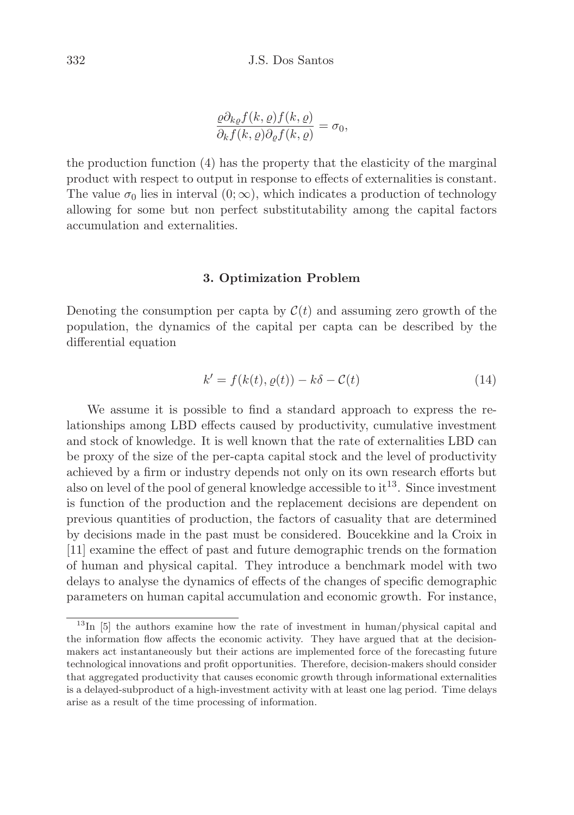$$
\frac{\varrho \partial_{k\varrho} f(k,\varrho) f(k,\varrho)}{\partial_k f(k,\varrho) \partial_{\varrho} f(k,\varrho)} = \sigma_0,
$$

the production function (4) has the property that the elasticity of the marginal product with respect to output in response to effects of externalities is constant. The value  $\sigma_0$  lies in interval  $(0; \infty)$ , which indicates a production of technology allowing for some but non perfect substitutability among the capital factors accumulation and externalities.

## 3. Optimization Problem

Denoting the consumption per capta by  $\mathcal{C}(t)$  and assuming zero growth of the population, the dynamics of the capital per capta can be described by the differential equation

$$
k' = f(k(t), \varrho(t)) - k\delta - \mathcal{C}(t)
$$
\n(14)

We assume it is possible to find a standard approach to express the relationships among LBD effects caused by productivity, cumulative investment and stock of knowledge. It is well known that the rate of externalities LBD can be proxy of the size of the per-capta capital stock and the level of productivity achieved by a firm or industry depends not only on its own research efforts but also on level of the pool of general knowledge accessible to it <sup>13</sup>. Since investment is function of the production and the replacement decisions are dependent on previous quantities of production, the factors of casuality that are determined by decisions made in the past must be considered. Boucekkine and la Croix in [11] examine the effect of past and future demographic trends on the formation of human and physical capital. They introduce a benchmark model with two delays to analyse the dynamics of effects of the changes of specific demographic parameters on human capital accumulation and economic growth. For instance,

 $13$ In [5] the authors examine how the rate of investment in human/physical capital and the information flow affects the economic activity. They have argued that at the decisionmakers act instantaneously but their actions are implemented force of the forecasting future technological innovations and profit opportunities. Therefore, decision-makers should consider that aggregated productivity that causes economic growth through informational externalities is a delayed-subproduct of a high-investment activity with at least one lag period. Time delays arise as a result of the time processing of information.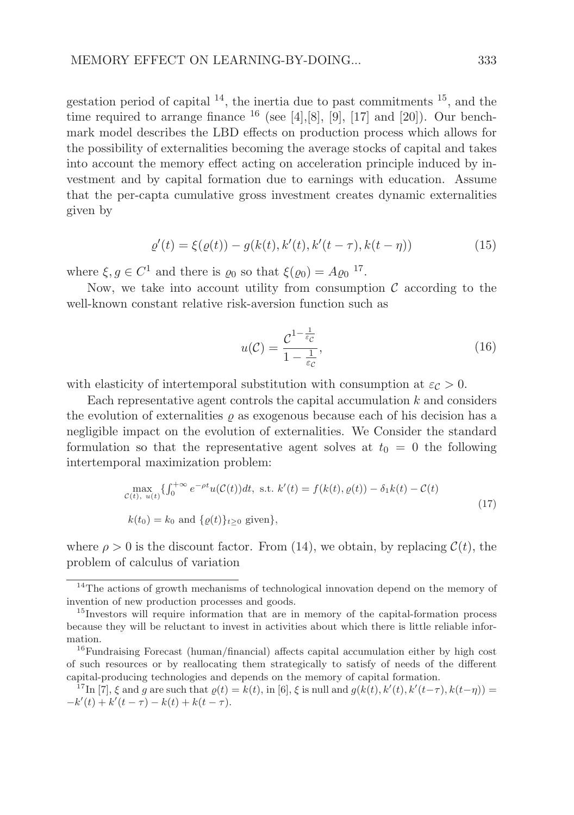gestation period of capital  $^{14}$ , the inertia due to past commitments  $^{15}$ , and the time required to arrange finance  $^{16}$  (see [4], [8], [9], [17] and [20]). Our benchmark model describes the LBD effects on production process which allows for the possibility of externalities becoming the average stocks of capital and takes into account the memory effect acting on acceleration principle induced by investment and by capital formation due to earnings with education. Assume that the per-capta cumulative gross investment creates dynamic externalities given by

$$
\varrho'(t) = \xi(\varrho(t)) - g(k(t), k'(t), k'(t - \tau), k(t - \eta))
$$
\n(15)

where  $\xi, g \in C^1$  and there is  $\varrho_0$  so that  $\xi(\varrho_0) = A \varrho_0$ <sup>17</sup>.

Now, we take into account utility from consumption  $\mathcal C$  according to the well-known constant relative risk-aversion function such as

$$
u(\mathcal{C}) = \frac{\mathcal{C}^{1-\frac{1}{\varepsilon_{\mathcal{C}}}}}{1-\frac{1}{\varepsilon_{\mathcal{C}}}},\tag{16}
$$

with elasticity of intertemporal substitution with consumption at  $\varepsilon_c > 0$ .

Each representative agent controls the capital accumulation  $k$  and considers the evolution of externalities  $\rho$  as exogenous because each of his decision has a negligible impact on the evolution of externalities. We Consider the standard formulation so that the representative agent solves at  $t_0 = 0$  the following intertemporal maximization problem:

$$
\max_{\mathcal{C}(t), u(t)} \{ \int_0^{+\infty} e^{-\rho t} u(\mathcal{C}(t)) dt, \text{ s.t. } k'(t) = f(k(t), \varrho(t)) - \delta_1 k(t) - \mathcal{C}(t)
$$
  
\n
$$
k(t_0) = k_0 \text{ and } \{ \varrho(t) \}_{t \ge 0} \text{ given} \},
$$
\n(17)

where  $\rho > 0$  is the discount factor. From (14), we obtain, by replacing  $\mathcal{C}(t)$ , the problem of calculus of variation

<sup>&</sup>lt;sup>14</sup>The actions of growth mechanisms of technological innovation depend on the memory of invention of new production processes and goods.

<sup>&</sup>lt;sup>15</sup>Investors will require information that are in memory of the capital-formation process because they will be reluctant to invest in activities about which there is little reliable information.

<sup>&</sup>lt;sup>16</sup>Fundraising Forecast (human/financial) affects capital accumulation either by high cost of such resources or by reallocating them strategically to satisfy of needs of the different capital-producing technologies and depends on the memory of capital formation.

<sup>&</sup>lt;sup>17</sup>In [7],  $\xi$  and g are such that  $\varrho(t) = k(t)$ , in [6],  $\xi$  is null and  $g(k(t), k'(t), k'(t-\tau), k(t-\eta)) =$  $-k'(t) + k'(t - \tau) - k(t) + k(t - \tau).$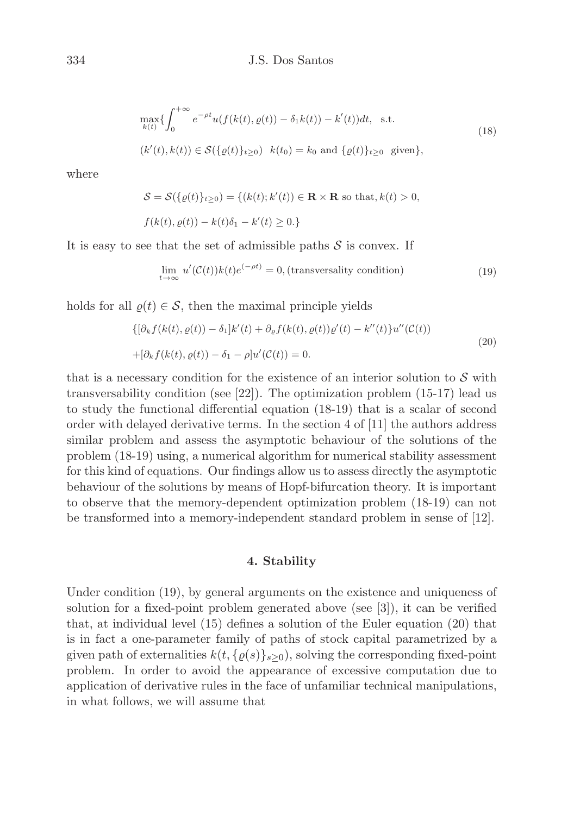$$
\max_{k(t)} \{ \int_0^{+\infty} e^{-\rho t} u(f(k(t), \varrho(t)) - \delta_1 k(t)) - k'(t) dt, \text{ s.t. } (18)
$$
  

$$
(k'(t), k(t)) \in S(\{\varrho(t)\}_{t \ge 0}) \quad k(t_0) = k_0 \text{ and } \{\varrho(t)\}_{t \ge 0} \text{ given} \},
$$

where

$$
\mathcal{S} = \mathcal{S}(\{\varrho(t)\}_{t\geq 0}) = \{(k(t); k'(t)) \in \mathbf{R} \times \mathbf{R} \text{ so that}, k(t) > 0,
$$
  

$$
f(k(t), \varrho(t)) - k(t)\delta_1 - k'(t) \geq 0.\}
$$

It is easy to see that the set of admissible paths  $S$  is convex. If

$$
\lim_{t \to \infty} u'(\mathcal{C}(t))k(t)e^{(-\rho t)} = 0, \text{(transversality condition)} \tag{19}
$$

holds for all  $\varrho(t) \in \mathcal{S}$ , then the maximal principle yields

$$
\{[\partial_k f(k(t), \varrho(t)) - \delta_1]k'(t) + \partial_{\varrho} f(k(t), \varrho(t))\varrho'(t) - k''(t)\}u''(\mathcal{C}(t))
$$
  
+
$$
[\partial_k f(k(t), \varrho(t)) - \delta_1 - \rho]u'(\mathcal{C}(t)) = 0.
$$
\n(20)

that is a necessary condition for the existence of an interior solution to  $\mathcal S$  with transversability condition (see [22]). The optimization problem (15-17) lead us to study the functional differential equation (18-19) that is a scalar of second order with delayed derivative terms. In the section 4 of [11] the authors address similar problem and assess the asymptotic behaviour of the solutions of the problem (18-19) using, a numerical algorithm for numerical stability assessment for this kind of equations. Our findings allow us to assess directly the asymptotic behaviour of the solutions by means of Hopf-bifurcation theory. It is important to observe that the memory-dependent optimization problem (18-19) can not be transformed into a memory-independent standard problem in sense of [12].

### 4. Stability

Under condition (19), by general arguments on the existence and uniqueness of solution for a fixed-point problem generated above (see [3]), it can be verified that, at individual level (15) defines a solution of the Euler equation (20) that is in fact a one-parameter family of paths of stock capital parametrized by a given path of externalities  $k(t, \{\varrho(s)\}_{s>0})$ , solving the corresponding fixed-point problem. In order to avoid the appearance of excessive computation due to application of derivative rules in the face of unfamiliar technical manipulations, in what follows, we will assume that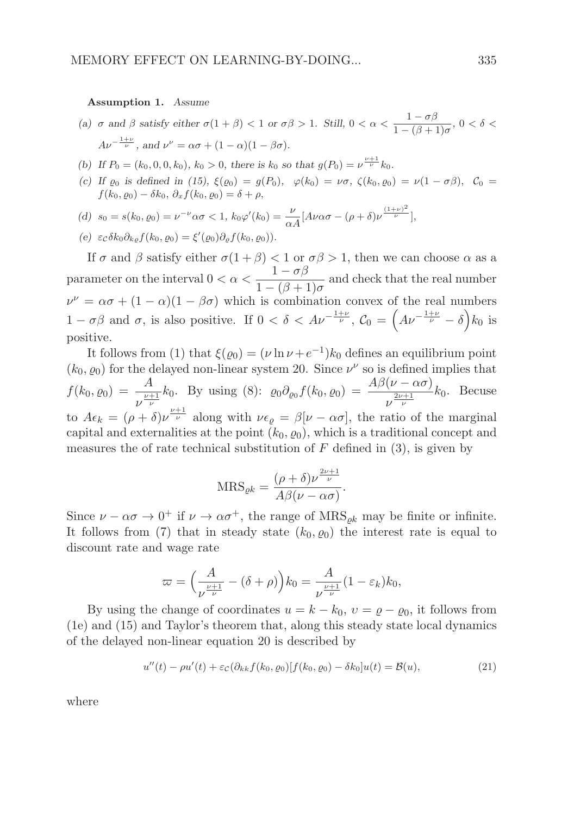#### Assumption 1. Assume

- (a)  $\sigma$  and  $\beta$  satisfy either  $\sigma(1+\beta) < 1$  or  $\sigma\beta > 1$ . Still,  $0 < \alpha < \frac{1-\sigma\beta}{1-\alpha\beta}$  $\frac{1-\sigma\rho}{1-(\beta+1)\sigma}$ ,  $0 < \delta <$  $Av^{-\frac{1+\nu}{\nu}}$ , and  $\nu^{\nu} = \alpha \sigma + (1 - \alpha)(1 - \beta \sigma)$ .
- (b) If  $P_0 = (k_0, 0, 0, k_0), k_0 > 0$ , there is  $k_0$  so that  $g(P_0) = \nu^{\frac{\nu+1}{\nu}} k_0$ .
- (c) If  $\varrho_0$  is defined in (15),  $\xi(\varrho_0) = g(P_0)$ ,  $\varphi(k_0) = \nu \sigma$ ,  $\zeta(k_0, \varrho_0) = \nu(1 \sigma \beta)$ ,  $C_0 =$  $f(k_0, \rho_0) - \delta k_0$ ,  $\partial_x f(k_0, \rho_0) = \delta + \rho$ ,
- (d)  $s_0 = s(k_0, \rho_0) = \nu^{-\nu} \alpha \sigma < 1$ ,  $k_0 \varphi'(k_0) = \frac{\nu}{\alpha A} [A \nu \alpha \sigma (\rho + \delta) \nu^{\frac{(1+\nu)^2}{\nu}}]$ ,
- (e)  $\varepsilon_c \delta k_0 \partial_{k_\varrho} f(k_0, \varrho_0) = \xi'(\varrho_0) \partial_{\varrho} f(k_0, \varrho_0)$ .

If  $\sigma$  and  $\beta$  satisfy either  $\sigma(1+\beta) < 1$  or  $\sigma\beta > 1$ , then we can choose  $\alpha$  as a parameter on the interval  $0 < \alpha < \frac{1 - \sigma \beta}{1 - \beta \alpha}$  $\frac{1-\sigma\beta}{1-(\beta+1)\sigma}$  and check that the real number  $\nu^{\nu} = \alpha \sigma + (1 - \alpha)(1 - \beta \sigma)$  which is combination convex of the real numbers  $1-\sigma\beta$  and  $\sigma$ , is also positive. If  $0 < \delta < A\nu^{-\frac{1+\nu}{\nu}}$ ,  $\mathcal{C}_0 = \left(A\nu^{-\frac{1+\nu}{\nu}} - \delta\right)k_0$  is positive.

It follows from (1) that  $\xi(\varrho_0) = (\nu \ln \nu + e^{-1})k_0$  defines an equilibrium point  $(k_0, \varrho_0)$  for the delayed non-linear system 20. Since  $\nu^{\nu}$  so is defined implies that  $f(k_{0}, \varrho_{0}) = \frac{A}{\nu + 1}$  $\frac{A}{\nu^{\frac{\nu+1}{\nu}}}k_0$ . By using (8):  $\varrho_0 \partial_{\varrho_0} f(k_0, \varrho_0) = \frac{A\beta(\nu - \alpha\sigma)}{\nu^{\frac{2\nu+1}{\nu}}}$  $\frac{\mu}{\nu} \frac{2\nu+1}{\nu} k_0$ . Becuse to  $A\epsilon_k = (\rho + \delta)\nu^{\frac{\nu+1}{\nu}}$  along with  $\nu\epsilon_\rho = \beta[\nu - \alpha\sigma]$ , the ratio of the marginal capital and externalities at the point  $(k_0, \rho_0)$ , which is a traditional concept and measures the of rate technical substitution of  $F$  defined in  $(3)$ , is given by

$$
MRS_{\varrho k} = \frac{(\rho + \delta)\nu^{\frac{2\nu + 1}{\nu}}}{A\beta(\nu - \alpha\sigma)}.
$$

Since  $\nu - \alpha \sigma \to 0^+$  if  $\nu \to \alpha \sigma^+$ , the range of  $MRS_{\varrho k}$  may be finite or infinite. It follows from (7) that in steady state  $(k_0, \varrho_0)$  the interest rate is equal to discount rate and wage rate

$$
\varpi = \left(\frac{A}{\nu^{\frac{\nu+1}{\nu}}} - (\delta + \rho)\right)k_0 = \frac{A}{\nu^{\frac{\nu+1}{\nu}}} (1 - \varepsilon_k)k_0,
$$

By using the change of coordinates  $u = k - k_0$ ,  $v = \varrho - \varrho_0$ , it follows from (1e) and (15) and Taylor's theorem that, along this steady state local dynamics of the delayed non-linear equation 20 is described by

$$
u''(t) - \rho u'(t) + \varepsilon_c (\partial_{kk} f(k_0, \varrho_0) [f(k_0, \varrho_0) - \delta k_0] u(t) = \mathcal{B}(u), \tag{21}
$$

where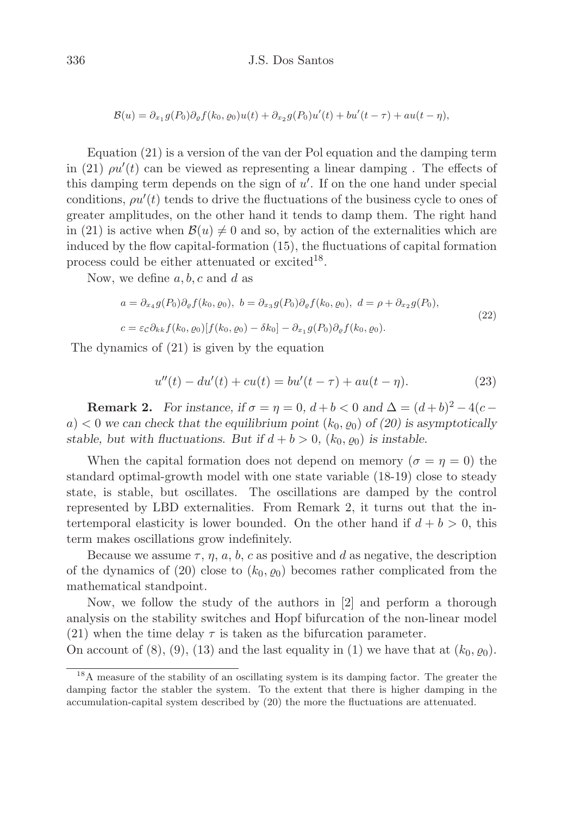$$
\mathcal{B}(u) = \partial_{x_1} g(P_0) \partial_{\varrho} f(k_0, \varrho_0) u(t) + \partial_{x_2} g(P_0) u'(t) + b u'(t - \tau) + a u(t - \eta),
$$

Equation (21) is a version of the van der Pol equation and the damping term in (21)  $\rho u'(t)$  can be viewed as representing a linear damping. The effects of this damping term depends on the sign of  $u'$ . If on the one hand under special conditions,  $\rho u'(t)$  tends to drive the fluctuations of the business cycle to ones of greater amplitudes, on the other hand it tends to damp them. The right hand in (21) is active when  $\mathcal{B}(u) \neq 0$  and so, by action of the externalities which are induced by the flow capital-formation (15), the fluctuations of capital formation process could be either attenuated or excited<sup>18</sup>.

Now, we define  $a, b, c$  and  $d$  as

$$
a = \partial_{x_4} g(P_0) \partial_{\varrho} f(k_0, \varrho_0), \ b = \partial_{x_3} g(P_0) \partial_{\varrho} f(k_0, \varrho_0), \ d = \rho + \partial_{x_2} g(P_0),
$$
  

$$
c = \varepsilon c \partial_{kk} f(k_0, \varrho_0) [f(k_0, \varrho_0) - \delta k_0] - \partial_{x_1} g(P_0) \partial_{\varrho} f(k_0, \varrho_0).
$$
\n(22)

The dynamics of (21) is given by the equation

$$
u''(t) - du'(t) + cu(t) = bu'(t - \tau) + au(t - \eta).
$$
 (23)

**Remark 2.** For instance, if  $\sigma = \eta = 0$ ,  $d + b < 0$  and  $\Delta = (d + b)^2 - 4(c$  $a) < 0$  we can check that the equilibrium point  $(k_0, \rho_0)$  of (20) is asymptotically stable, but with fluctuations. But if  $d + b > 0$ ,  $(k_0, \rho_0)$  is instable.

When the capital formation does not depend on memory ( $\sigma = \eta = 0$ ) the standard optimal-growth model with one state variable (18-19) close to steady state, is stable, but oscillates. The oscillations are damped by the control represented by LBD externalities. From Remark 2, it turns out that the intertemporal elasticity is lower bounded. On the other hand if  $d + b > 0$ , this term makes oscillations grow indefinitely.

Because we assume  $\tau$ ,  $\eta$ ,  $a$ ,  $b$ ,  $c$  as positive and d as negative, the description of the dynamics of (20) close to  $(k_0, \varrho_0)$  becomes rather complicated from the mathematical standpoint.

Now, we follow the study of the authors in [2] and perform a thorough analysis on the stability switches and Hopf bifurcation of the non-linear model (21) when the time delay  $\tau$  is taken as the bifurcation parameter.

On account of (8), (9), (13) and the last equality in (1) we have that at  $(k_0, \rho_0)$ .

<sup>&</sup>lt;sup>18</sup>A measure of the stability of an oscillating system is its damping factor. The greater the damping factor the stabler the system. To the extent that there is higher damping in the accumulation-capital system described by (20) the more the fluctuations are attenuated.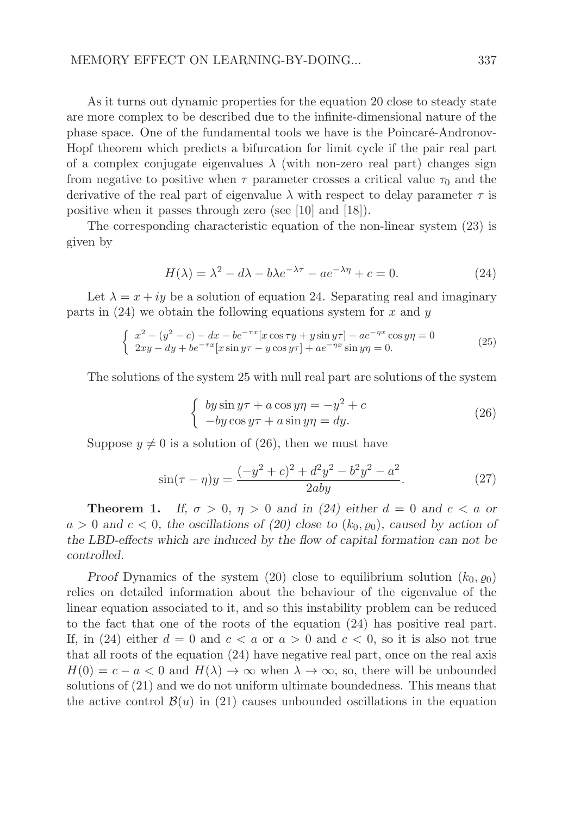As it turns out dynamic properties for the equation 20 close to steady state are more complex to be described due to the infinite-dimensional nature of the phase space. One of the fundamental tools we have is the Poincaré-Andronov-Hopf theorem which predicts a bifurcation for limit cycle if the pair real part of a complex conjugate eigenvalues  $\lambda$  (with non-zero real part) changes sign from negative to positive when  $\tau$  parameter crosses a critical value  $\tau_0$  and the derivative of the real part of eigenvalue  $\lambda$  with respect to delay parameter  $\tau$  is positive when it passes through zero (see [10] and [18]).

The corresponding characteristic equation of the non-linear system (23) is given by

$$
H(\lambda) = \lambda^2 - d\lambda - b\lambda e^{-\lambda\tau} - ae^{-\lambda\eta} + c = 0.
$$
 (24)

Let  $\lambda = x + iy$  be a solution of equation 24. Separating real and imaginary parts in  $(24)$  we obtain the following equations system for x and y

$$
\begin{cases}\n x^2 - (y^2 - c) - dx - be^{-\tau x} [x \cos \tau y + y \sin y \tau] - ae^{-\eta x} \cos y \eta = 0 \\
 2xy - dy + be^{-\tau x} [x \sin y \tau - y \cos y \tau] + ae^{-\eta x} \sin y \eta = 0.\n\end{cases}
$$
\n(25)

The solutions of the system 25 with null real part are solutions of the system

$$
\begin{cases}\nby \sin y\tau + a \cos y\eta = -y^2 + c \\
-by \cos y\tau + a \sin y\eta = dy.\n\end{cases}
$$
\n(26)

Suppose  $y \neq 0$  is a solution of (26), then we must have

$$
\sin(\tau - \eta)y = \frac{(-y^2 + c)^2 + d^2y^2 - b^2y^2 - a^2}{2aby}.
$$
\n(27)

**Theorem 1.** If,  $\sigma > 0$ ,  $\eta > 0$  and in (24) either  $d = 0$  and  $c < a$  or  $a > 0$  and  $c < 0$ , the oscillations of (20) close to  $(k_0, \varrho_0)$ , caused by action of the LBD-effects which are induced by the flow of capital formation can not be controlled.

Proof Dynamics of the system (20) close to equilibrium solution  $(k_0, \rho_0)$ relies on detailed information about the behaviour of the eigenvalue of the linear equation associated to it, and so this instability problem can be reduced to the fact that one of the roots of the equation (24) has positive real part. If, in (24) either  $d = 0$  and  $c < a$  or  $a > 0$  and  $c < 0$ , so it is also not true that all roots of the equation (24) have negative real part, once on the real axis  $H(0) = c - a < 0$  and  $H(\lambda) \to \infty$  when  $\lambda \to \infty$ , so, there will be unbounded solutions of (21) and we do not uniform ultimate boundedness. This means that the active control  $\mathcal{B}(u)$  in (21) causes unbounded oscillations in the equation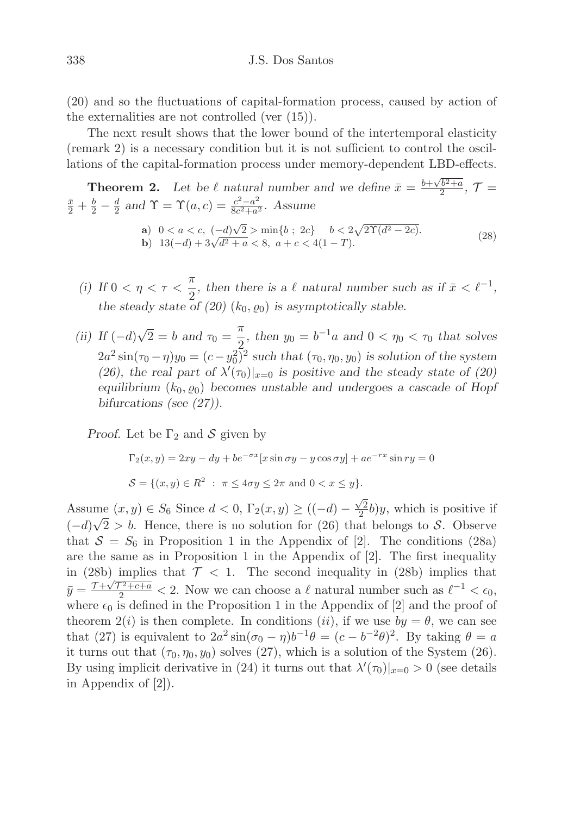(20) and so the fluctuations of capital-formation process, caused by action of the externalities are not controlled (ver (15)).

The next result shows that the lower bound of the intertemporal elasticity (remark 2) is a necessary condition but it is not sufficient to control the oscillations of the capital-formation process under memory-dependent LBD-effects.

**Theorem 2.** Let be 
$$
\ell
$$
 natural number and we define  $\bar{x} = \frac{b + \sqrt{b^2 + a}}{2}$ ,  $\mathcal{T} = \frac{\bar{x}}{2} + \frac{b}{2} - \frac{d}{2}$  and  $\Upsilon = \Upsilon(a, c) = \frac{c^2 - a^2}{8c^2 + a^2}$ . Assume  
\na)  $0 < a < c$ ,  $(-d)\sqrt{2} > \min\{b \; ; \; 2c\}$   $b < 2\sqrt{2\Upsilon(d^2 - 2c)}$ .  
\nb)  $13(-d) + 3\sqrt{d^2 + a} < 8$ ,  $a + c < 4(1 - T)$ . (28)

- (i) If  $0 < \eta < \tau < \frac{\pi}{2}$  $\frac{\pi}{2}$ , then there is a  $\ell$  natural number such as if  $\bar{x} < \ell^{-1}$ , the steady state of (20)  $(k_0, \varrho_0)$  is asymptotically stable.
- (ii) If  $(-d)\sqrt{2} = b$  and  $\tau_0 = \frac{\pi}{2}$  $\frac{\pi}{2}$ , then  $y_0 = b^{-1}a$  and  $0 < \eta_0 < \tau_0$  that solves  $2a^2 \sin(\tau_0 - \eta)y_0 = (c - y_0^2)^2$  such that  $(\tau_0, \eta_0, y_0)$  is solution of the system (26), the real part of  $\lambda'(\tau_0)|_{x=0}$  is positive and the steady state of (20) equilibrium  $(k_0, \varrho_0)$  becomes unstable and undergoes a cascade of Hopf bifurcations (see (27)).

*Proof.* Let be  $\Gamma_2$  and S given by

$$
\Gamma_2(x, y) = 2xy - dy + be^{-\sigma x} [x \sin \sigma y - y \cos \sigma y] + ae^{-rx} \sin ry = 0
$$
  

$$
S = \{(x, y) \in R^2 : \pi \le 4\sigma y \le 2\pi \text{ and } 0 < x \le y\}.
$$

Assume  $(x, y) \in S_6$  Since  $d < 0$ ,  $\Gamma_2(x, y) \ge ((-d) - \frac{\sqrt{2}}{2})$  $\frac{\sqrt{2}}{2}$ b)y, which is positive if  $(-d)\sqrt{2} > b$ . Hence, there is no solution for (26) that belongs to S. Observe that  $S = S_6$  in Proposition 1 in the Appendix of [2]. The conditions (28a) are the same as in Proposition 1 in the Appendix of [2]. The first inequality in (28b) implies that  $\mathcal{T} < 1$ . The second inequality in (28b) implies that  $\bar{y} = \frac{\tau + \sqrt{\tau^2 + c + a}}{2} < 2$ . Now we can choose a  $\ell$  natural number such as  $\ell^{-1} < \epsilon_0$ , where  $\epsilon_0$  is defined in the Proposition 1 in the Appendix of [2] and the proof of theorem  $2(i)$  is then complete. In conditions (ii), if we use  $by = \theta$ , we can see that (27) is equivalent to  $2a^2 \sin(\sigma_0 - \eta) b^{-1} \theta = (c - b^{-2} \theta)^2$ . By taking  $\theta = a$ it turns out that  $(\tau_0, \eta_0, y_0)$  solves (27), which is a solution of the System (26). By using implicit derivative in (24) it turns out that  $\lambda'(\tau_0)|_{x=0} > 0$  (see details in Appendix of [2]).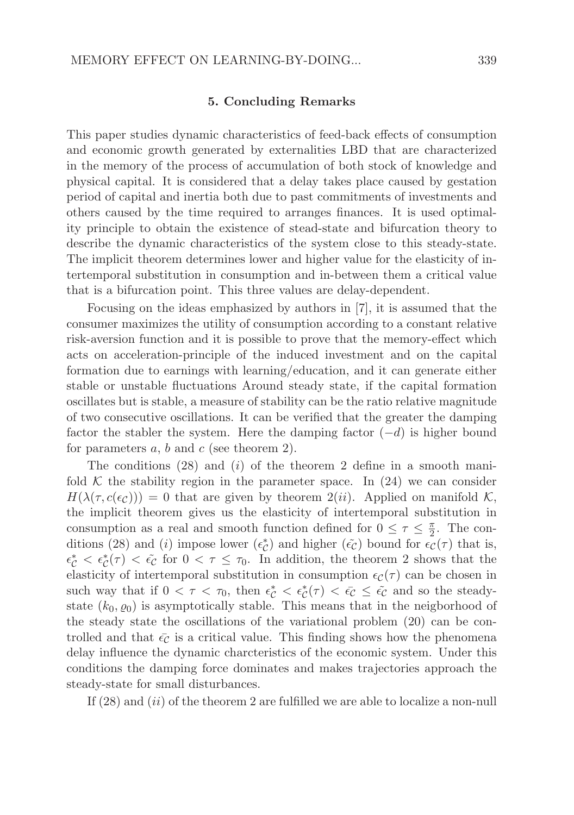#### 5. Concluding Remarks

This paper studies dynamic characteristics of feed-back effects of consumption and economic growth generated by externalities LBD that are characterized in the memory of the process of accumulation of both stock of knowledge and physical capital. It is considered that a delay takes place caused by gestation period of capital and inertia both due to past commitments of investments and others caused by the time required to arranges finances. It is used optimality principle to obtain the existence of stead-state and bifurcation theory to describe the dynamic characteristics of the system close to this steady-state. The implicit theorem determines lower and higher value for the elasticity of intertemporal substitution in consumption and in-between them a critical value that is a bifurcation point. This three values are delay-dependent.

Focusing on the ideas emphasized by authors in [7], it is assumed that the consumer maximizes the utility of consumption according to a constant relative risk-aversion function and it is possible to prove that the memory-effect which acts on acceleration-principle of the induced investment and on the capital formation due to earnings with learning/education, and it can generate either stable or unstable fluctuations Around steady state, if the capital formation oscillates but is stable, a measure of stability can be the ratio relative magnitude of two consecutive oscillations. It can be verified that the greater the damping factor the stabler the system. Here the damping factor  $(-d)$  is higher bound for parameters  $a, b$  and  $c$  (see theorem 2).

The conditions  $(28)$  and  $(i)$  of the theorem 2 define in a smooth manifold  $K$  the stability region in the parameter space. In  $(24)$  we can consider  $H(\lambda(\tau, c(\epsilon_{\mathcal{C}}))) = 0$  that are given by theorem  $2(ii)$ . Applied on manifold K, the implicit theorem gives us the elasticity of intertemporal substitution in consumption as a real and smooth function defined for  $0 \leq \tau \leq \frac{\pi}{2}$  $\frac{\pi}{2}$ . The conditions (28) and (*i*) impose lower  $(\epsilon_C^*)$  and higher  $(\tilde{\epsilon_C})$  bound for  $\epsilon_C(\tau)$  that is,  $\epsilon_{\mathcal{C}}^* < \epsilon_{\mathcal{C}}^*(\tau) < \tilde{\epsilon}_{\mathcal{C}}$  for  $0 < \tau \leq \tau_0$ . In addition, the theorem 2 shows that the elasticity of intertemporal substitution in consumption  $\epsilon_{\mathcal{C}}(\tau)$  can be chosen in such way that if  $0 < \tau < \tau_0$ , then  $\epsilon_c^* < \epsilon_c^*(\tau) < \bar{\epsilon}_c \leq \tilde{\epsilon}_c$  and so the steadystate  $(k_0, \varrho_0)$  is asymptotically stable. This means that in the neigborhood of the steady state the oscillations of the variational problem (20) can be controlled and that  $\bar{\epsilon}_{\mathcal{C}}$  is a critical value. This finding shows how the phenomena delay influence the dynamic charcteristics of the economic system. Under this conditions the damping force dominates and makes trajectories approach the steady-state for small disturbances.

If  $(28)$  and  $(ii)$  of the theorem 2 are fulfilled we are able to localize a non-null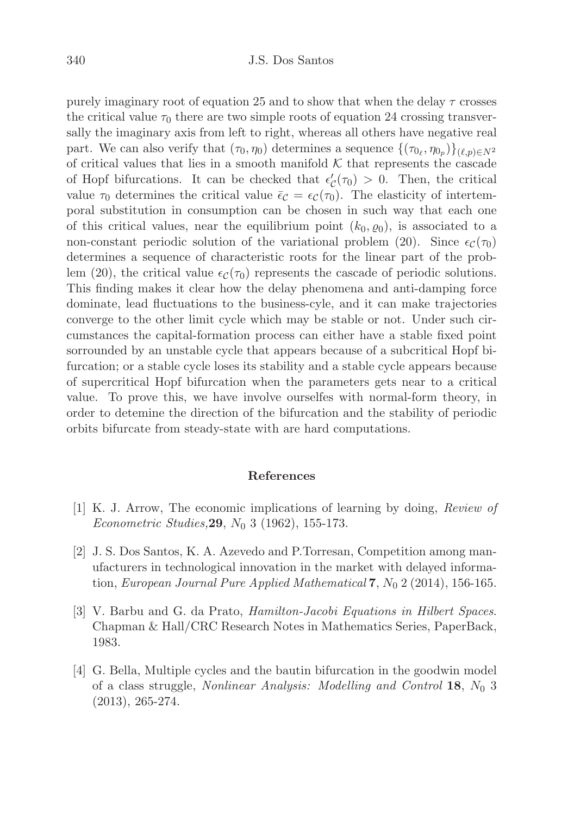purely imaginary root of equation 25 and to show that when the delay  $\tau$  crosses the critical value  $\tau_0$  there are two simple roots of equation 24 crossing transversally the imaginary axis from left to right, whereas all others have negative real part. We can also verify that  $(\tau_0, \eta_0)$  determines a sequence  $\{(\tau_{0_\ell}, \eta_{0_p})\}_{(\ell, p) \in N^2}$ of critical values that lies in a smooth manifold  $K$  that represents the cascade of Hopf bifurcations. It can be checked that  $\epsilon'_{\mathcal{C}}(\tau_0) > 0$ . Then, the critical value  $\tau_0$  determines the critical value  $\bar{\epsilon}_\mathcal{C} = \epsilon_\mathcal{C}(\tau_0)$ . The elasticity of intertemporal substitution in consumption can be chosen in such way that each one of this critical values, near the equilibrium point  $(k_0, \rho_0)$ , is associated to a non-constant periodic solution of the variational problem (20). Since  $\epsilon_{\mathcal{C}}(\tau_0)$ determines a sequence of characteristic roots for the linear part of the problem (20), the critical value  $\epsilon_{\mathcal{C}}(\tau_0)$  represents the cascade of periodic solutions. This finding makes it clear how the delay phenomena and anti-damping force dominate, lead fluctuations to the business-cyle, and it can make trajectories converge to the other limit cycle which may be stable or not. Under such circumstances the capital-formation process can either have a stable fixed point sorrounded by an unstable cycle that appears because of a subcritical Hopf bifurcation; or a stable cycle loses its stability and a stable cycle appears because of supercritical Hopf bifurcation when the parameters gets near to a critical value. To prove this, we have involve ourselfes with normal-form theory, in order to detemine the direction of the bifurcation and the stability of periodic orbits bifurcate from steady-state with are hard computations.

#### References

- [1] K. J. Arrow, The economic implications of learning by doing, Review of *Econometric Studies*, **29**,  $N_0$  3 (1962), 155-173.
- [2] J. S. Dos Santos, K. A. Azevedo and P.Torresan, Competition among manufacturers in technological innovation in the market with delayed information, European Journal Pure Applied Mathematical 7,  $N_0$  2 (2014), 156-165.
- [3] V. Barbu and G. da Prato, Hamilton-Jacobi Equations in Hilbert Spaces. Chapman & Hall/CRC Research Notes in Mathematics Series, PaperBack, 1983.
- [4] G. Bella, Multiple cycles and the bautin bifurcation in the goodwin model of a class struggle, Nonlinear Analysis: Modelling and Control 18, N<sup>0</sup> 3 (2013), 265-274.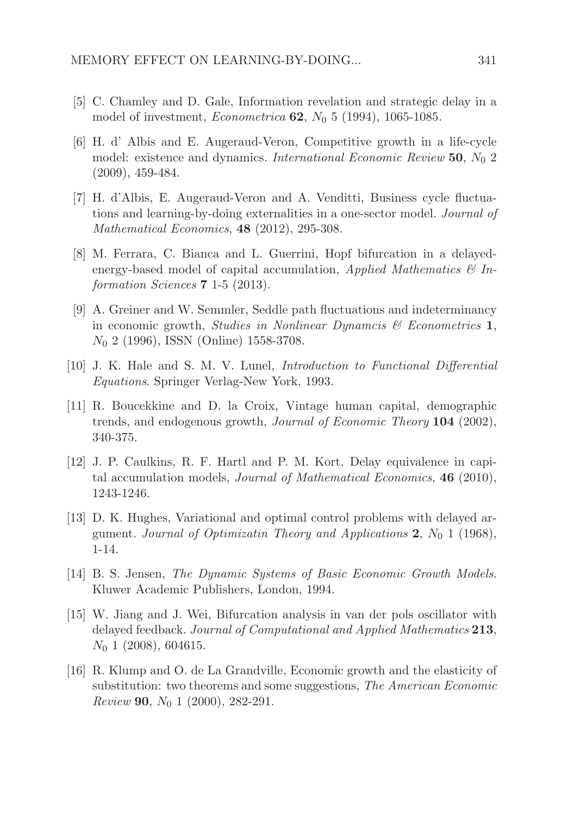- [5] C. Chamley and D. Gale, Information revelation and strategic delay in a model of investment, *Econometrica* **62**,  $N_0$  5 (1994), 1065-1085.
- [6] H. d' Albis and E. Augeraud-Veron, Competitive growth in a life-cycle model: existence and dynamics. International Economic Review 50,  $N_0$  2 (2009), 459-484.
- [7] H. d'Albis, E. Augeraud-Veron and A. Venditti, Business cycle fluctuations and learning-by-doing externalities in a one-sector model. Journal of Mathematical Economics, 48 (2012), 295-308.
- [8] M. Ferrara, C. Bianca and L. Guerrini, Hopf bifurcation in a delayedenergy-based model of capital accumulation, *Applied Mathematics*  $\mathcal{C}_{I}$  Information Sciences 7 1-5 (2013).
- [9] A. Greiner and W. Semmler, Seddle path fluctuations and indeterminancy in economic growth, *Studies in Nonlinear Dynamcis*  $\mathcal{C}$  Econometrics 1,  $N_0$  2 (1996), ISSN (Online) 1558-3708.
- [10] J. K. Hale and S. M. V. Lunel, Introduction to Functional Differential Equations. Springer Verlag-New York, 1993.
- [11] R. Boucekkine and D. la Croix, Vintage human capital, demographic trends, and endogenous growth, Journal of Economic Theory 104 (2002), 340-375.
- [12] J. P. Caulkins, R. F. Hartl and P. M. Kort, Delay equivalence in capital accumulation models, Journal of Mathematical Economics, 46 (2010), 1243-1246.
- [13] D. K. Hughes, Variational and optimal control problems with delayed argument. Journal of Optimizatin Theory and Applications 2,  $N_0$  1 (1968), 1-14.
- [14] B. S. Jensen, The Dynamic Systems of Basic Economic Growth Models. Kluwer Academic Publishers, London, 1994.
- [15] W. Jiang and J. Wei, Bifurcation analysis in van der pols oscillator with delayed feedback. Journal of Computational and Applied Mathematics 213,  $N_0$  1 (2008), 604615.
- [16] R. Klump and O. de La Grandville, Economic growth and the elasticity of substitution: two theorems and some suggestions, *The American Economic Review* **90**,  $N_0$  1 (2000), 282-291.